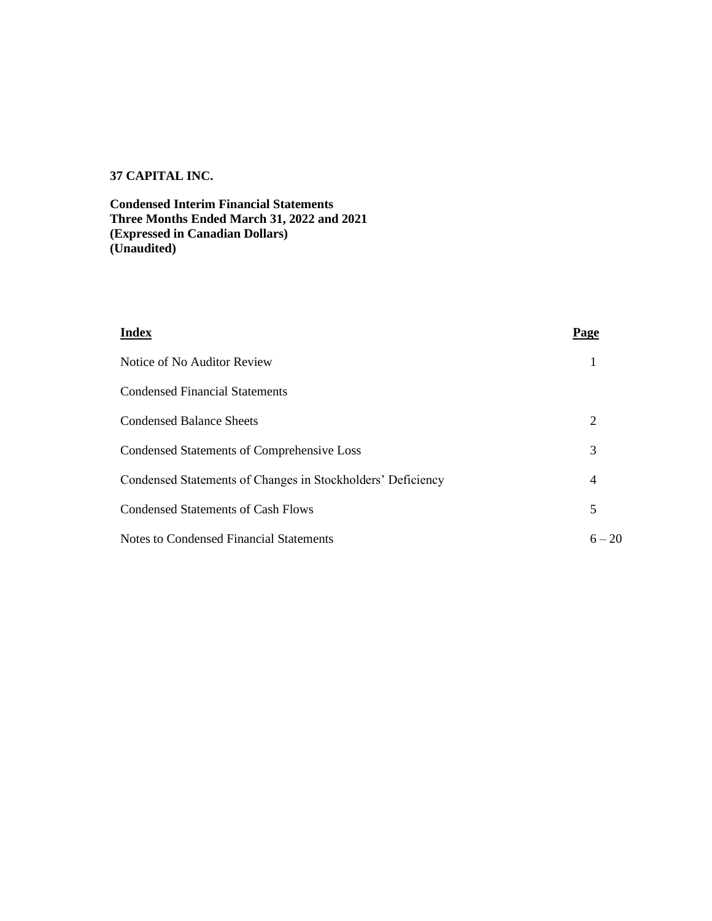# **37 CAPITAL INC.**

**Condensed Interim Financial Statements Three Months Ended March 31, 2022 and 2021 (Expressed in Canadian Dollars) (Unaudited)**

| <b>Index</b>                                                | Page           |
|-------------------------------------------------------------|----------------|
| Notice of No Auditor Review                                 |                |
| <b>Condensed Financial Statements</b>                       |                |
| <b>Condensed Balance Sheets</b>                             | 2              |
| Condensed Statements of Comprehensive Loss                  | 3              |
| Condensed Statements of Changes in Stockholders' Deficiency | $\overline{4}$ |
| Condensed Statements of Cash Flows                          | 5              |
| Notes to Condensed Financial Statements                     | $6 - 20$       |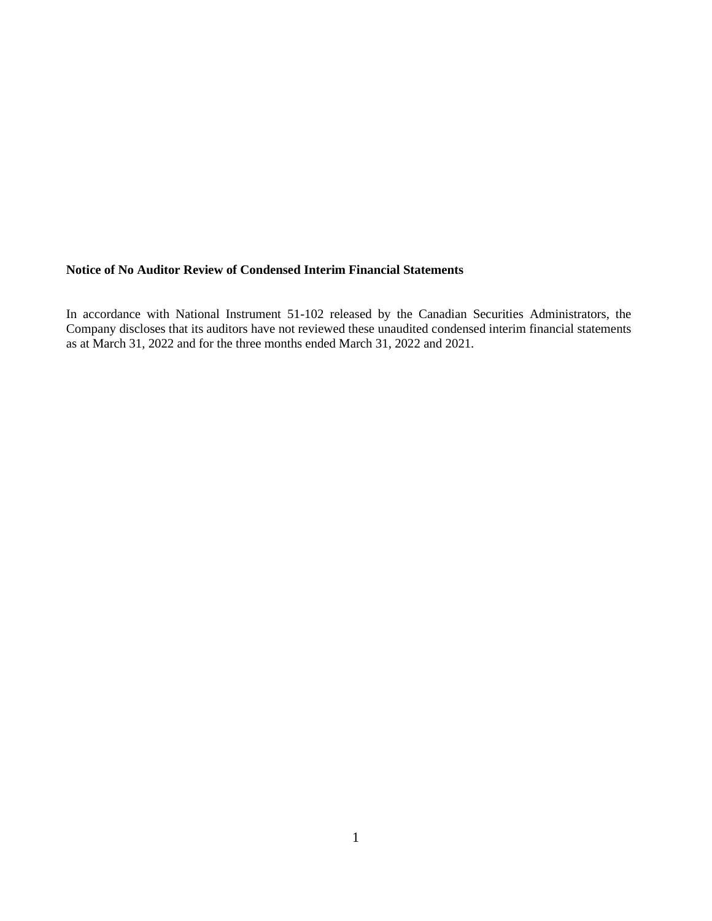# **Notice of No Auditor Review of Condensed Interim Financial Statements**

In accordance with National Instrument 51-102 released by the Canadian Securities Administrators, the Company discloses that its auditors have not reviewed these unaudited condensed interim financial statements as at March 31, 2022 and for the three months ended March 31, 2022 and 2021.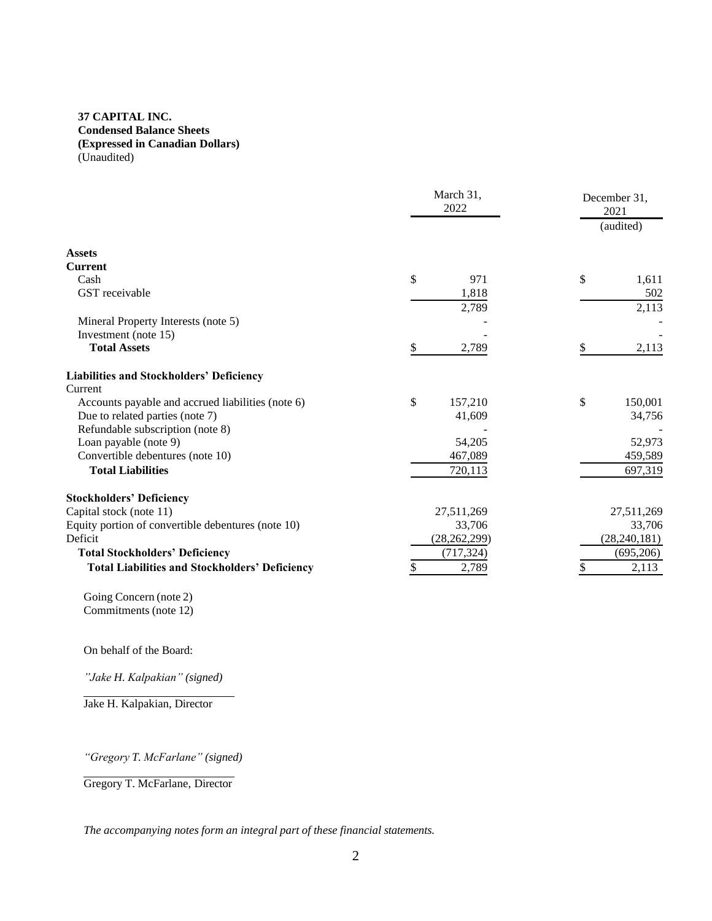# **37 CAPITAL INC. Condensed Balance Sheets (Expressed in Canadian Dollars)** (Unaudited)

|                                                       | March 31,<br>2022 | December 31,<br>2021<br>(audited) |
|-------------------------------------------------------|-------------------|-----------------------------------|
| <b>Assets</b>                                         |                   |                                   |
| <b>Current</b>                                        |                   |                                   |
| Cash                                                  | \$<br>971         | \$<br>1,611                       |
| GST receivable                                        | 1,818<br>2,789    | 502<br>2,113                      |
| Mineral Property Interests (note 5)                   |                   |                                   |
| Investment (note 15)                                  |                   |                                   |
| <b>Total Assets</b>                                   | \$<br>2,789       | \$<br>2,113                       |
| <b>Liabilities and Stockholders' Deficiency</b>       |                   |                                   |
| Current                                               |                   |                                   |
| Accounts payable and accrued liabilities (note 6)     | \$<br>157,210     | \$<br>150,001                     |
| Due to related parties (note 7)                       | 41,609            | 34,756                            |
| Refundable subscription (note 8)                      |                   |                                   |
| Loan payable (note 9)                                 | 54,205            | 52,973                            |
| Convertible debentures (note 10)                      | 467,089           | 459,589                           |
| <b>Total Liabilities</b>                              | 720,113           | 697,319                           |
| <b>Stockholders' Deficiency</b>                       |                   |                                   |
| Capital stock (note 11)                               | 27,511,269        | 27,511,269                        |
| Equity portion of convertible debentures (note 10)    | 33,706            | 33,706                            |
| Deficit                                               | (28, 262, 299)    | (28, 240, 181)                    |
| <b>Total Stockholders' Deficiency</b>                 | (717, 324)        | (695,206)                         |
| <b>Total Liabilities and Stockholders' Deficiency</b> | 2,789<br>\$       | 2,113<br>\$                       |

Going Concern (note 2) Commitments (note 12)

On behalf of the Board:

*"Jake H. Kalpakian" (signed)*

Jake H. Kalpakian, Director

*"Gregory T. McFarlane" (signed)*

Gregory T. McFarlane, Director

*The accompanying notes form an integral part of these financial statements.*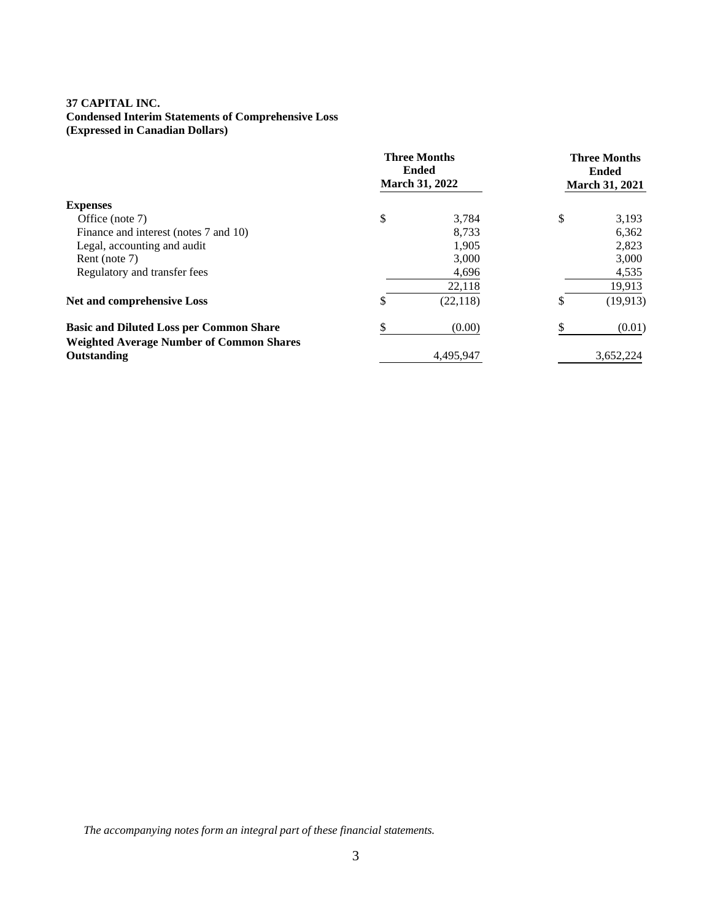# **37 CAPITAL INC. Condensed Interim Statements of Comprehensive Loss (Expressed in Canadian Dollars)**

|                                                 | <b>Three Months</b><br><b>Ended</b><br><b>March 31, 2022</b> | <b>Three Months</b><br><b>Ended</b><br><b>March 31, 2021</b> |
|-------------------------------------------------|--------------------------------------------------------------|--------------------------------------------------------------|
| <b>Expenses</b>                                 |                                                              |                                                              |
| Office (note 7)                                 | \$<br>3.784                                                  | \$<br>3,193                                                  |
| Finance and interest (notes 7 and 10)           | 8,733                                                        | 6,362                                                        |
| Legal, accounting and audit                     | 1,905                                                        | 2,823                                                        |
| Rent (note 7)                                   | 3,000                                                        | 3,000                                                        |
| Regulatory and transfer fees                    | 4,696                                                        | 4,535                                                        |
|                                                 | 22,118                                                       | 19,913                                                       |
| <b>Net and comprehensive Loss</b>               | \$<br>(22, 118)                                              | \$<br>(19, 913)                                              |
| <b>Basic and Diluted Loss per Common Share</b>  | (0.00)                                                       | (0.01)                                                       |
| <b>Weighted Average Number of Common Shares</b> |                                                              |                                                              |
| Outstanding                                     | 4.495.947                                                    | 3,652,224                                                    |

*The accompanying notes form an integral part of these financial statements.*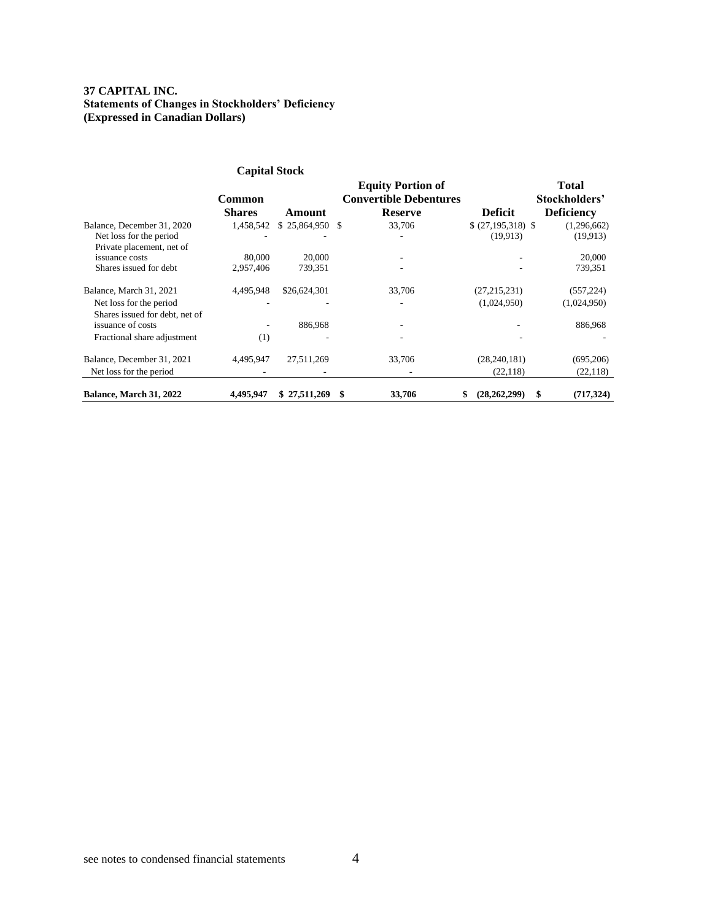## **37 CAPITAL INC. Statements of Changes in Stockholders' Deficiency (Expressed in Canadian Dollars)**

|                                                                                      | <b>Capital Stock</b>    |                     |                                                                             |                                 |                                             |
|--------------------------------------------------------------------------------------|-------------------------|---------------------|-----------------------------------------------------------------------------|---------------------------------|---------------------------------------------|
|                                                                                      | Common<br><b>Shares</b> | Amount              | <b>Equity Portion of</b><br><b>Convertible Debentures</b><br><b>Reserve</b> | <b>Deficit</b>                  | Total<br>Stockholders'<br><b>Deficiency</b> |
| Balance, December 31, 2020<br>Net loss for the period<br>Private placement, net of   | 1,458,542               | $$25,864,950$ \, \$ | 33,706                                                                      | $$ (27,195,318)$ \;<br>(19.913) | (1,296,662)<br>(19,913)                     |
| issuance costs<br>Shares issued for debt                                             | 80,000<br>2,957,406     | 20,000<br>739,351   | ۰                                                                           |                                 | 20,000<br>739,351                           |
| Balance, March 31, 2021<br>Net loss for the period<br>Shares issued for debt, net of | 4,495,948               | \$26,624,301        | 33,706                                                                      | (27, 215, 231)<br>(1,024,950)   | (557, 224)<br>(1,024,950)                   |
| issuance of costs<br>Fractional share adjustment                                     | ۰.<br>(1)               | 886,968             | ۰                                                                           |                                 | 886,968                                     |
| Balance, December 31, 2021<br>Net loss for the period                                | 4,495,947               | 27,511,269          | 33,706                                                                      | (28, 240, 181)<br>(22, 118)     | (695,206)<br>(22, 118)                      |
| Balance, March 31, 2022                                                              | 4.495.947               | \$27,511,269        | 33,706                                                                      | (28, 262, 299)<br>S             | (717, 324)<br>\$                            |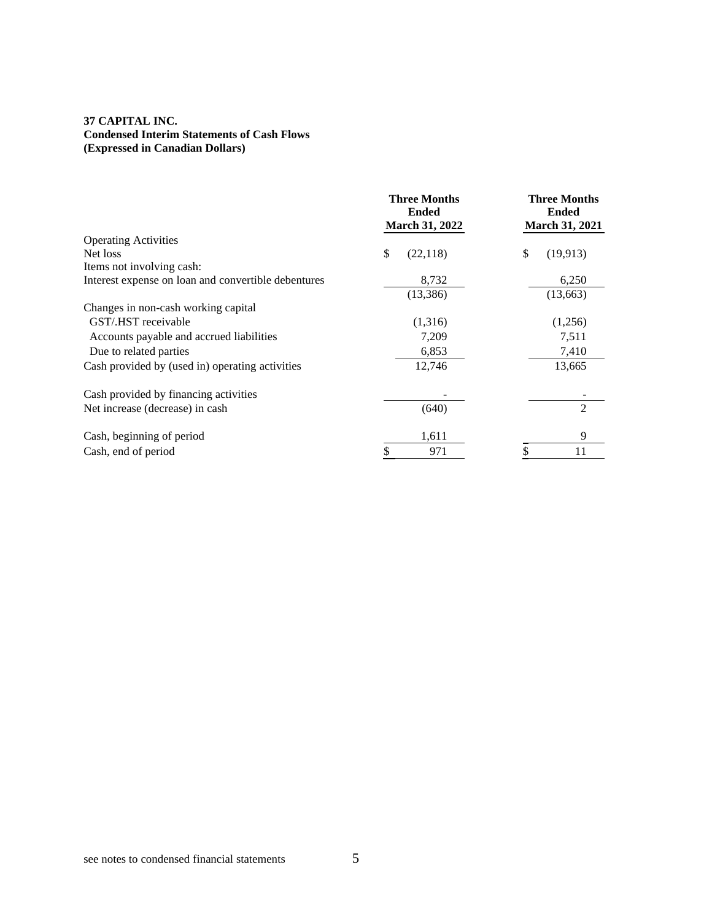# **37 CAPITAL INC. Condensed Interim Statements of Cash Flows (Expressed in Canadian Dollars)**

|                                                     | <b>Three Months</b><br><b>Ended</b><br><b>March 31, 2022</b> | <b>Three Months</b><br><b>Ended</b><br><b>March 31, 2021</b> |
|-----------------------------------------------------|--------------------------------------------------------------|--------------------------------------------------------------|
| <b>Operating Activities</b>                         |                                                              |                                                              |
| Net loss                                            | \$<br>(22, 118)                                              | \$<br>(19, 913)                                              |
| Items not involving cash:                           |                                                              |                                                              |
| Interest expense on loan and convertible debentures | 8,732                                                        | 6,250                                                        |
|                                                     | (13, 386)                                                    | (13, 663)                                                    |
| Changes in non-cash working capital                 |                                                              |                                                              |
| GST/.HST receivable                                 | (1,316)                                                      | (1,256)                                                      |
| Accounts payable and accrued liabilities            | 7,209                                                        | 7,511                                                        |
| Due to related parties                              | 6,853                                                        | 7,410                                                        |
| Cash provided by (used in) operating activities     | 12,746                                                       | 13,665                                                       |
| Cash provided by financing activities               |                                                              |                                                              |
| Net increase (decrease) in cash                     | (640)                                                        | $\overline{2}$                                               |
| Cash, beginning of period                           | 1,611                                                        | 9                                                            |
| Cash, end of period                                 | 971                                                          | 11                                                           |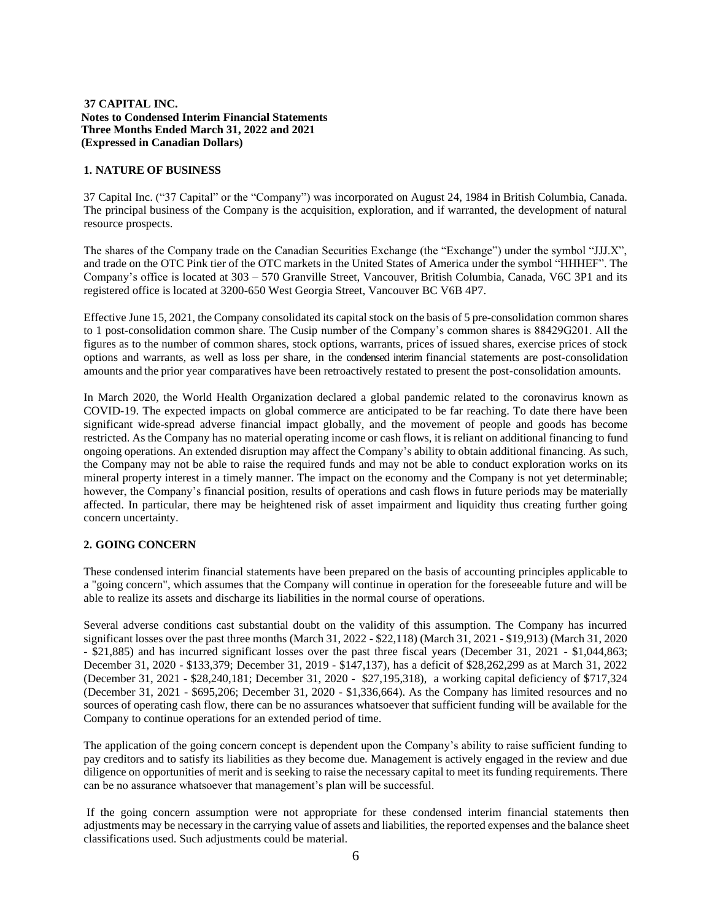### **1. NATURE OF BUSINESS**

37 Capital Inc. ("37 Capital" or the "Company") was incorporated on August 24, 1984 in British Columbia, Canada. The principal business of the Company is the acquisition, exploration, and if warranted, the development of natural resource prospects.

The shares of the Company trade on the Canadian Securities Exchange (the "Exchange") under the symbol "JJJ.X", and trade on the OTC Pink tier of the OTC markets in the United States of America under the symbol "HHHEF". The Company's office is located at 303 – 570 Granville Street, Vancouver, British Columbia, Canada, V6C 3P1 and its registered office is located at 3200-650 West Georgia Street, Vancouver BC V6B 4P7.

Effective June 15, 2021, the Company consolidated its capital stock on the basis of 5 pre-consolidation common shares to 1 post-consolidation common share. The Cusip number of the Company's common shares is 88429G201. All the figures as to the number of common shares, stock options, warrants, prices of issued shares, exercise prices of stock options and warrants, as well as loss per share, in the condensed interim financial statements are post-consolidation amounts and the prior year comparatives have been retroactively restated to present the post-consolidation amounts.

In March 2020, the World Health Organization declared a global pandemic related to the coronavirus known as COVID-19. The expected impacts on global commerce are anticipated to be far reaching. To date there have been significant wide-spread adverse financial impact globally, and the movement of people and goods has become restricted. As the Company has no material operating income or cash flows, it is reliant on additional financing to fund ongoing operations. An extended disruption may affect the Company's ability to obtain additional financing. As such, the Company may not be able to raise the required funds and may not be able to conduct exploration works on its mineral property interest in a timely manner. The impact on the economy and the Company is not yet determinable; however, the Company's financial position, results of operations and cash flows in future periods may be materially affected. In particular, there may be heightened risk of asset impairment and liquidity thus creating further going concern uncertainty.

### **2. GOING CONCERN**

These condensed interim financial statements have been prepared on the basis of accounting principles applicable to a "going concern", which assumes that the Company will continue in operation for the foreseeable future and will be able to realize its assets and discharge its liabilities in the normal course of operations.

Several adverse conditions cast substantial doubt on the validity of this assumption. The Company has incurred significant losses over the past three months (March 31, 2022 - \$22,118) (March 31, 2021 - \$19,913) (March 31, 2020 - \$21,885) and has incurred significant losses over the past three fiscal years (December 31, 2021 - \$1,044,863; December 31, 2020 - \$133,379; December 31, 2019 - \$147,137), has a deficit of \$28,262,299 as at March 31, 2022 (December 31, 2021 - \$28,240,181; December 31, 2020 - \$27,195,318), a working capital deficiency of \$717,324 (December 31, 2021 - \$695,206; December 31, 2020 - \$1,336,664). As the Company has limited resources and no sources of operating cash flow, there can be no assurances whatsoever that sufficient funding will be available for the Company to continue operations for an extended period of time.

The application of the going concern concept is dependent upon the Company's ability to raise sufficient funding to pay creditors and to satisfy its liabilities as they become due. Management is actively engaged in the review and due diligence on opportunities of merit and is seeking to raise the necessary capital to meet its funding requirements. There can be no assurance whatsoever that management's plan will be successful.

If the going concern assumption were not appropriate for these condensed interim financial statements then adjustments may be necessary in the carrying value of assets and liabilities, the reported expenses and the balance sheet classifications used. Such adjustments could be material.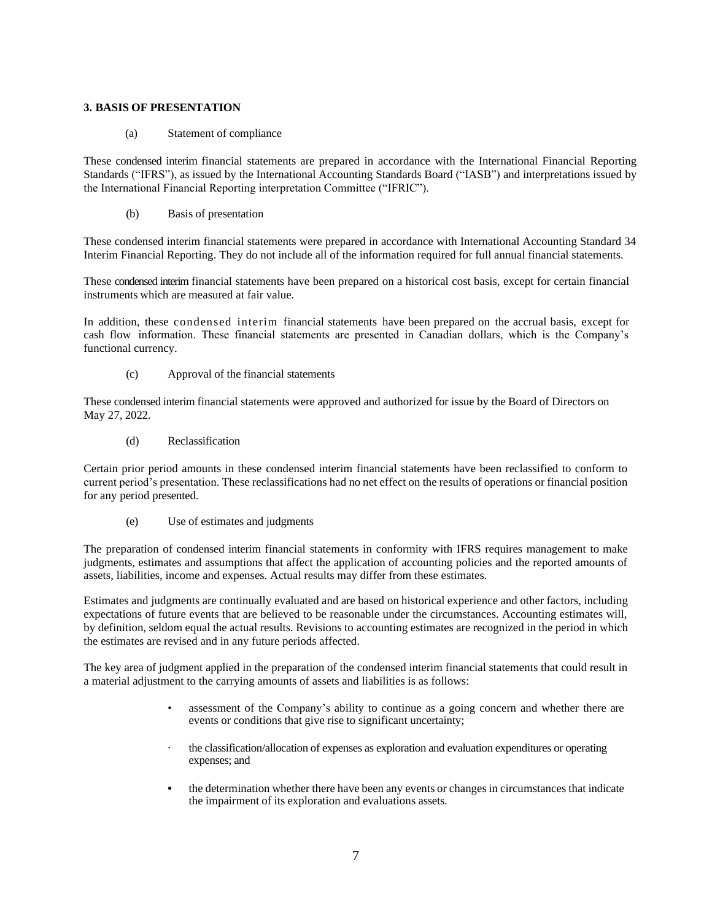### **3. BASIS OF PRESENTATION**

(a) Statement of compliance

These condensed interim financial statements are prepared in accordance with the International Financial Reporting Standards ("IFRS"), as issued by the International Accounting Standards Board ("IASB") and interpretations issued by the International Financial Reporting interpretation Committee ("IFRIC").

(b) Basis of presentation

These condensed interim financial statements were prepared in accordance with International Accounting Standard 34 Interim Financial Reporting. They do not include all of the information required for full annual financial statements.

These condensed interim financial statements have been prepared on a historical cost basis, except for certain financial instruments which are measured at fair value.

In addition, these condensed interim financial statements have been prepared on the accrual basis, except for cash flow information. These financial statements are presented in Canadian dollars, which is the Company's functional currency.

(c) Approval of the financial statements

These condensed interim financial statements were approved and authorized for issue by the Board of Directors on May 27, 2022.

(d) Reclassification

Certain prior period amounts in these condensed interim financial statements have been reclassified to conform to current period's presentation. These reclassifications had no net effect on the results of operations or financial position for any period presented.

(e) Use of estimates and judgments

The preparation of condensed interim financial statements in conformity with IFRS requires management to make judgments, estimates and assumptions that affect the application of accounting policies and the reported amounts of assets, liabilities, income and expenses. Actual results may differ from these estimates.

Estimates and judgments are continually evaluated and are based on historical experience and other factors, including expectations of future events that are believed to be reasonable under the circumstances. Accounting estimates will, by definition, seldom equal the actual results. Revisions to accounting estimates are recognized in the period in which the estimates are revised and in any future periods affected.

The key area of judgment applied in the preparation of the condensed interim financial statements that could result in a material adjustment to the carrying amounts of assets and liabilities is as follows:

- assessment of the Company's ability to continue as a going concern and whether there are events or conditions that give rise to significant uncertainty;
- the classification/allocation of expenses as exploration and evaluation expenditures or operating expenses; and
- **•** the determination whether there have been any events or changesin circumstances that indicate the impairment of its exploration and evaluations assets.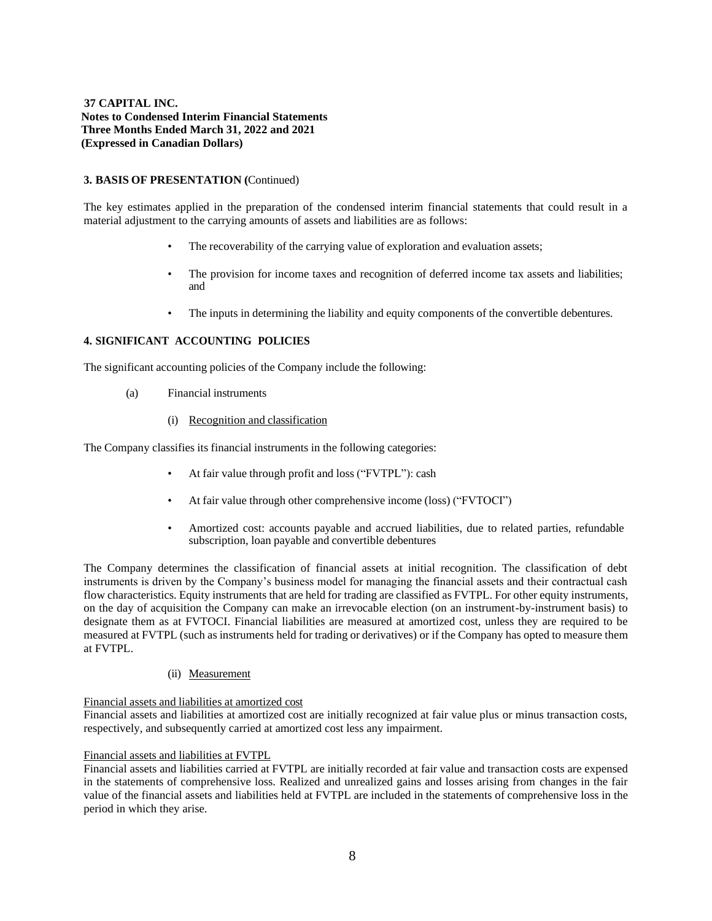### **3. BASIS OF PRESENTATION (**Continued)

The key estimates applied in the preparation of the condensed interim financial statements that could result in a material adjustment to the carrying amounts of assets and liabilities are as follows:

- The recoverability of the carrying value of exploration and evaluation assets;
- The provision for income taxes and recognition of deferred income tax assets and liabilities; and
- The inputs in determining the liability and equity components of the convertible debentures.

### **4. SIGNIFICANT ACCOUNTING POLICIES**

The significant accounting policies of the Company include the following:

- (a) Financial instruments
	- (i) Recognition and classification

The Company classifies its financial instruments in the following categories:

- At fair value through profit and loss ("FVTPL"): cash
- At fair value through other comprehensive income (loss) ("FVTOCI")
- Amortized cost: accounts payable and accrued liabilities, due to related parties, refundable subscription, loan payable and convertible debentures

The Company determines the classification of financial assets at initial recognition. The classification of debt instruments is driven by the Company's business model for managing the financial assets and their contractual cash flow characteristics. Equity instruments that are held for trading are classified as FVTPL. For other equity instruments, on the day of acquisition the Company can make an irrevocable election (on an instrument-by-instrument basis) to designate them as at FVTOCI. Financial liabilities are measured at amortized cost, unless they are required to be measured at FVTPL (such as instruments held for trading or derivatives) or if the Company has opted to measure them at FVTPL.

#### (ii) Measurement

#### Financial assets and liabilities at amortized cost

Financial assets and liabilities at amortized cost are initially recognized at fair value plus or minus transaction costs, respectively, and subsequently carried at amortized cost less any impairment.

#### Financial assets and liabilities at FVTPL

Financial assets and liabilities carried at FVTPL are initially recorded at fair value and transaction costs are expensed in the statements of comprehensive loss. Realized and unrealized gains and losses arising from changes in the fair value of the financial assets and liabilities held at FVTPL are included in the statements of comprehensive loss in the period in which they arise.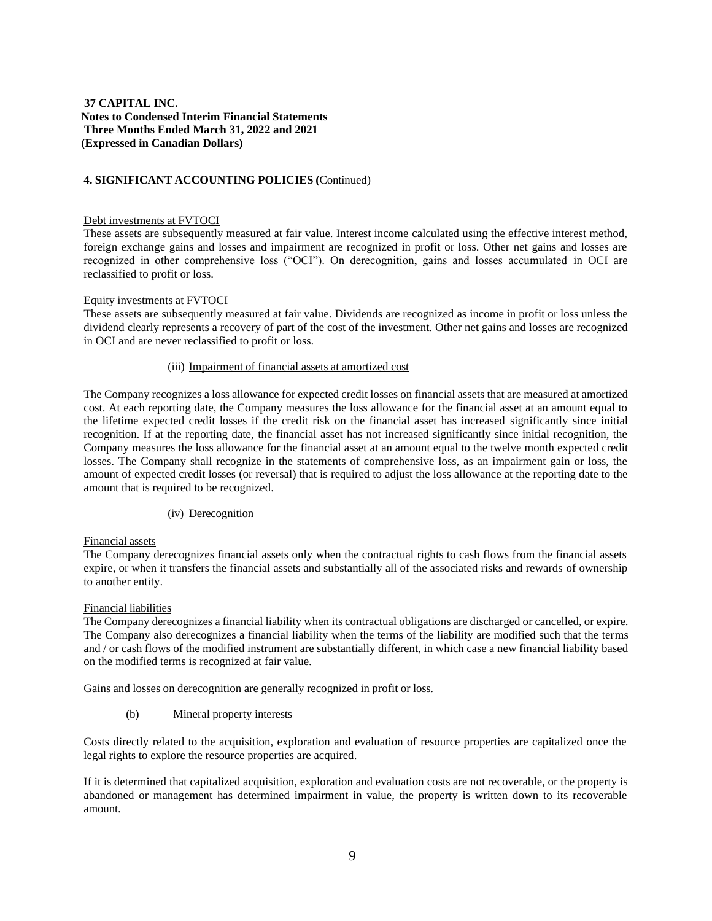### **4. SIGNIFICANT ACCOUNTING POLICIES (**Continued)

#### Debt investments at FVTOCI

These assets are subsequently measured at fair value. Interest income calculated using the effective interest method, foreign exchange gains and losses and impairment are recognized in profit or loss. Other net gains and losses are recognized in other comprehensive loss ("OCI"). On derecognition, gains and losses accumulated in OCI are reclassified to profit or loss.

#### Equity investments at FVTOCI

These assets are subsequently measured at fair value. Dividends are recognized as income in profit or loss unless the dividend clearly represents a recovery of part of the cost of the investment. Other net gains and losses are recognized in OCI and are never reclassified to profit or loss.

#### (iii) Impairment of financial assets at amortized cost

The Company recognizes a loss allowance for expected credit losses on financial assets that are measured at amortized cost. At each reporting date, the Company measures the loss allowance for the financial asset at an amount equal to the lifetime expected credit losses if the credit risk on the financial asset has increased significantly since initial recognition. If at the reporting date, the financial asset has not increased significantly since initial recognition, the Company measures the loss allowance for the financial asset at an amount equal to the twelve month expected credit losses. The Company shall recognize in the statements of comprehensive loss, as an impairment gain or loss, the amount of expected credit losses (or reversal) that is required to adjust the loss allowance at the reporting date to the amount that is required to be recognized.

#### (iv) Derecognition

#### Financial assets

The Company derecognizes financial assets only when the contractual rights to cash flows from the financial assets expire, or when it transfers the financial assets and substantially all of the associated risks and rewards of ownership to another entity.

### Financial liabilities

The Company derecognizes a financial liability when its contractual obligations are discharged or cancelled, or expire. The Company also derecognizes a financial liability when the terms of the liability are modified such that the terms and / or cash flows of the modified instrument are substantially different, in which case a new financial liability based on the modified terms is recognized at fair value.

Gains and losses on derecognition are generally recognized in profit or loss.

(b) Mineral property interests

Costs directly related to the acquisition, exploration and evaluation of resource properties are capitalized once the legal rights to explore the resource properties are acquired.

If it is determined that capitalized acquisition, exploration and evaluation costs are not recoverable, or the property is abandoned or management has determined impairment in value, the property is written down to its recoverable amount.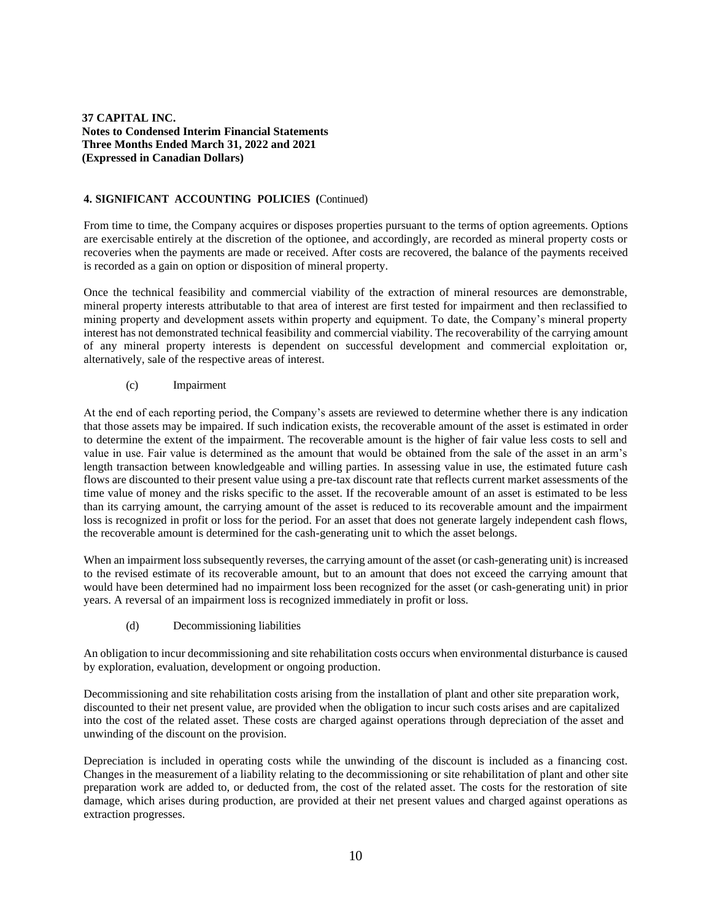### **4. SIGNIFICANT ACCOUNTING POLICIES (**Continued)

From time to time, the Company acquires or disposes properties pursuant to the terms of option agreements. Options are exercisable entirely at the discretion of the optionee, and accordingly, are recorded as mineral property costs or recoveries when the payments are made or received. After costs are recovered, the balance of the payments received is recorded as a gain on option or disposition of mineral property.

Once the technical feasibility and commercial viability of the extraction of mineral resources are demonstrable, mineral property interests attributable to that area of interest are first tested for impairment and then reclassified to mining property and development assets within property and equipment. To date, the Company's mineral property interest has not demonstrated technical feasibility and commercial viability. The recoverability of the carrying amount of any mineral property interests is dependent on successful development and commercial exploitation or, alternatively, sale of the respective areas of interest.

#### (c) Impairment

At the end of each reporting period, the Company's assets are reviewed to determine whether there is any indication that those assets may be impaired. If such indication exists, the recoverable amount of the asset is estimated in order to determine the extent of the impairment. The recoverable amount is the higher of fair value less costs to sell and value in use. Fair value is determined as the amount that would be obtained from the sale of the asset in an arm's length transaction between knowledgeable and willing parties. In assessing value in use, the estimated future cash flows are discounted to their present value using a pre-tax discount rate that reflects current market assessments of the time value of money and the risks specific to the asset. If the recoverable amount of an asset is estimated to be less than its carrying amount, the carrying amount of the asset is reduced to its recoverable amount and the impairment loss is recognized in profit or loss for the period. For an asset that does not generate largely independent cash flows, the recoverable amount is determined for the cash-generating unit to which the asset belongs.

When an impairment loss subsequently reverses, the carrying amount of the asset (or cash-generating unit) is increased to the revised estimate of its recoverable amount, but to an amount that does not exceed the carrying amount that would have been determined had no impairment loss been recognized for the asset (or cash-generating unit) in prior years. A reversal of an impairment loss is recognized immediately in profit or loss.

(d) Decommissioning liabilities

An obligation to incur decommissioning and site rehabilitation costs occurs when environmental disturbance is caused by exploration, evaluation, development or ongoing production.

Decommissioning and site rehabilitation costs arising from the installation of plant and other site preparation work, discounted to their net present value, are provided when the obligation to incur such costs arises and are capitalized into the cost of the related asset. These costs are charged against operations through depreciation of the asset and unwinding of the discount on the provision.

Depreciation is included in operating costs while the unwinding of the discount is included as a financing cost. Changes in the measurement of a liability relating to the decommissioning or site rehabilitation of plant and other site preparation work are added to, or deducted from, the cost of the related asset. The costs for the restoration of site damage, which arises during production, are provided at their net present values and charged against operations as extraction progresses.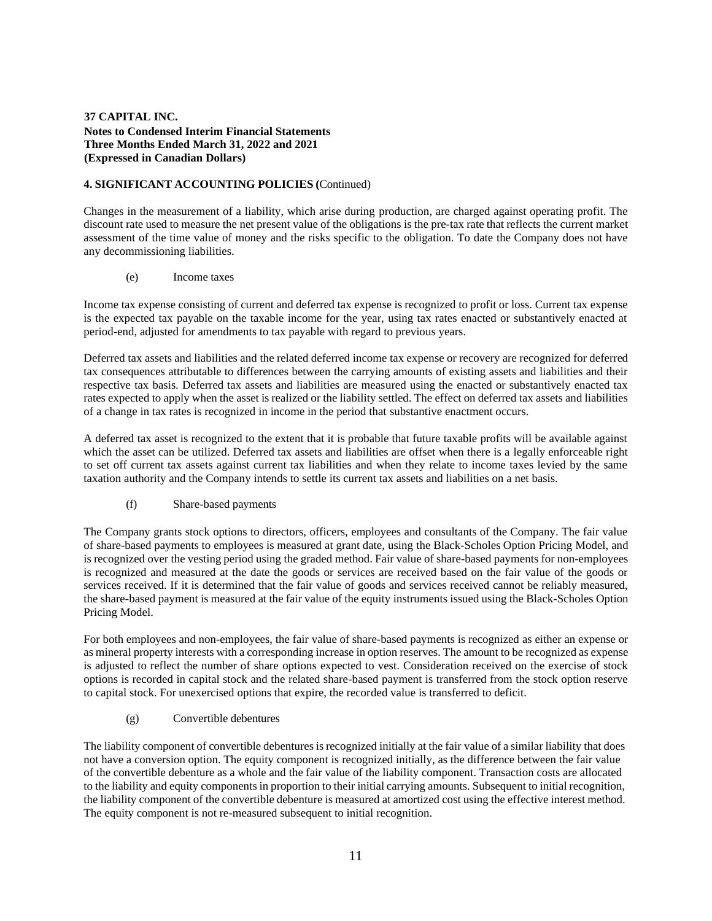### **4. SIGNIFICANT ACCOUNTING POLICIES (**Continued)

Changes in the measurement of a liability, which arise during production, are charged against operating profit. The discount rate used to measure the net present value of the obligations is the pre-tax rate that reflects the current market assessment of the time value of money and the risks specific to the obligation. To date the Company does not have any decommissioning liabilities.

(e) Income taxes

Income tax expense consisting of current and deferred tax expense is recognized to profit or loss. Current tax expense is the expected tax payable on the taxable income for the year, using tax rates enacted or substantively enacted at period-end, adjusted for amendments to tax payable with regard to previous years.

Deferred tax assets and liabilities and the related deferred income tax expense or recovery are recognized for deferred tax consequences attributable to differences between the carrying amounts of existing assets and liabilities and their respective tax basis. Deferred tax assets and liabilities are measured using the enacted or substantively enacted tax rates expected to apply when the asset is realized or the liability settled. The effect on deferred tax assets and liabilities of a change in tax rates is recognized in income in the period that substantive enactment occurs.

A deferred tax asset is recognized to the extent that it is probable that future taxable profits will be available against which the asset can be utilized. Deferred tax assets and liabilities are offset when there is a legally enforceable right to set off current tax assets against current tax liabilities and when they relate to income taxes levied by the same taxation authority and the Company intends to settle its current tax assets and liabilities on a net basis.

(f) Share-based payments

The Company grants stock options to directors, officers, employees and consultants of the Company. The fair value of share-based payments to employees is measured at grant date, using the Black-Scholes Option Pricing Model, and is recognized over the vesting period using the graded method. Fair value of share-based payments for non-employees is recognized and measured at the date the goods or services are received based on the fair value of the goods or services received. If it is determined that the fair value of goods and services received cannot be reliably measured, the share-based payment is measured at the fair value of the equity instruments issued using the Black-Scholes Option Pricing Model.

For both employees and non-employees, the fair value of share-based payments is recognized as either an expense or as mineral property interests with a corresponding increase in option reserves. The amount to be recognized as expense is adjusted to reflect the number of share options expected to vest. Consideration received on the exercise of stock options is recorded in capital stock and the related share-based payment is transferred from the stock option reserve to capital stock. For unexercised options that expire, the recorded value is transferred to deficit.

(g) Convertible debentures

The liability component of convertible debentures isrecognized initially at the fair value of a similar liability that does not have a conversion option. The equity component is recognized initially, as the difference between the fair value of the convertible debenture as a whole and the fair value of the liability component. Transaction costs are allocated to the liability and equity components in proportion to their initial carrying amounts. Subsequent to initial recognition, the liability component of the convertible debenture is measured at amortized cost using the effective interest method. The equity component is not re-measured subsequent to initial recognition.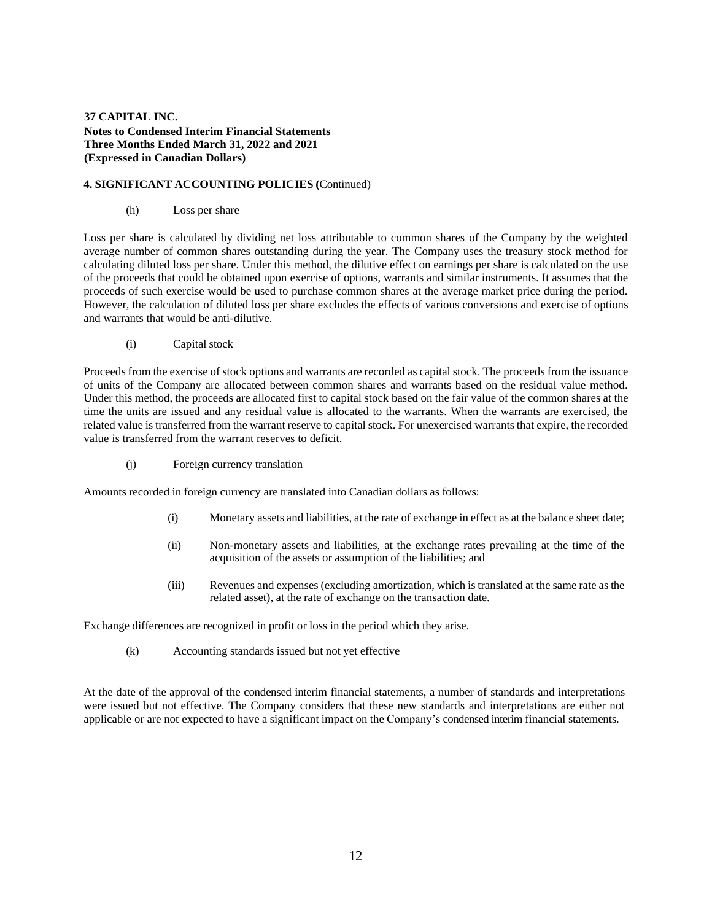### **4. SIGNIFICANT ACCOUNTING POLICIES (**Continued)

(h) Loss per share

Loss per share is calculated by dividing net loss attributable to common shares of the Company by the weighted average number of common shares outstanding during the year. The Company uses the treasury stock method for calculating diluted loss per share. Under this method, the dilutive effect on earnings per share is calculated on the use of the proceeds that could be obtained upon exercise of options, warrants and similar instruments. It assumes that the proceeds of such exercise would be used to purchase common shares at the average market price during the period. However, the calculation of diluted loss per share excludes the effects of various conversions and exercise of options and warrants that would be anti-dilutive.

(i) Capital stock

Proceeds from the exercise of stock options and warrants are recorded as capital stock. The proceeds from the issuance of units of the Company are allocated between common shares and warrants based on the residual value method. Under this method, the proceeds are allocated first to capital stock based on the fair value of the common shares at the time the units are issued and any residual value is allocated to the warrants. When the warrants are exercised, the related value is transferred from the warrant reserve to capital stock. For unexercised warrants that expire, the recorded value is transferred from the warrant reserves to deficit.

(j) Foreign currency translation

Amounts recorded in foreign currency are translated into Canadian dollars as follows:

- (i) Monetary assets and liabilities, at the rate of exchange in effect as at the balance sheet date;
- (ii) Non-monetary assets and liabilities, at the exchange rates prevailing at the time of the acquisition of the assets or assumption of the liabilities; and
- (iii) Revenues and expenses (excluding amortization, which istranslated at the same rate as the related asset), at the rate of exchange on the transaction date.

Exchange differences are recognized in profit or loss in the period which they arise.

(k) Accounting standards issued but not yet effective

At the date of the approval of the condensed interim financial statements, a number of standards and interpretations were issued but not effective. The Company considers that these new standards and interpretations are either not applicable or are not expected to have a significant impact on the Company's condensed interim financial statements.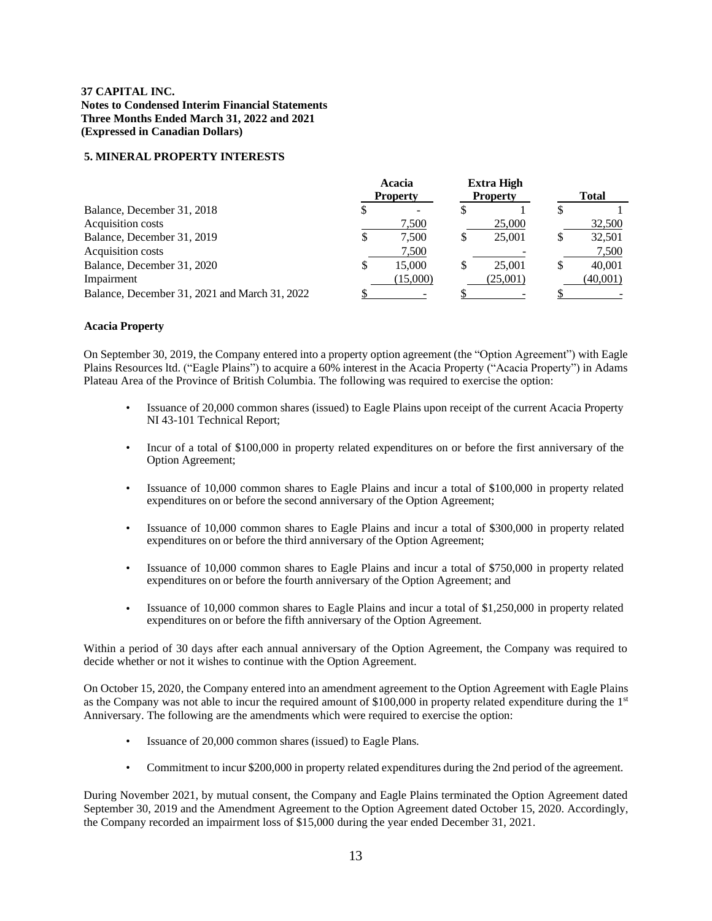### **5. MINERAL PROPERTY INTERESTS**

|                                               |    | Acacia<br><b>Property</b> |   | <b>Extra High</b><br><b>Property</b> | <b>Total</b> |
|-----------------------------------------------|----|---------------------------|---|--------------------------------------|--------------|
| Balance, December 31, 2018                    | S  |                           |   |                                      |              |
| Acquisition costs                             |    | 7,500                     |   | 25,000                               | 32,500       |
| Balance, December 31, 2019                    | \$ | 7.500                     | S | 25,001                               | 32,501       |
| Acquisition costs                             |    | 7,500                     |   |                                      | 7,500        |
| Balance, December 31, 2020                    | S  | 15,000                    |   | 25,001                               | 40,001       |
| Impairment                                    |    | (15,000)                  |   | (25.001)                             | (40,001)     |
| Balance, December 31, 2021 and March 31, 2022 |    |                           |   |                                      |              |

### **Acacia Property**

On September 30, 2019, the Company entered into a property option agreement (the "Option Agreement") with Eagle Plains Resources ltd. ("Eagle Plains") to acquire a 60% interest in the Acacia Property ("Acacia Property") in Adams Plateau Area of the Province of British Columbia. The following was required to exercise the option:

- Issuance of 20,000 common shares (issued) to Eagle Plains upon receipt of the current Acacia Property NI 43-101 Technical Report;
- Incur of a total of \$100,000 in property related expenditures on or before the first anniversary of the Option Agreement;
- Issuance of 10,000 common shares to Eagle Plains and incur a total of \$100,000 in property related expenditures on or before the second anniversary of the Option Agreement;
- Issuance of 10,000 common shares to Eagle Plains and incur a total of \$300,000 in property related expenditures on or before the third anniversary of the Option Agreement;
- Issuance of 10,000 common shares to Eagle Plains and incur a total of \$750,000 in property related expenditures on or before the fourth anniversary of the Option Agreement; and
- Issuance of 10,000 common shares to Eagle Plains and incur a total of \$1,250,000 in property related expenditures on or before the fifth anniversary of the Option Agreement.

Within a period of 30 days after each annual anniversary of the Option Agreement, the Company was required to decide whether or not it wishes to continue with the Option Agreement.

On October 15, 2020, the Company entered into an amendment agreement to the Option Agreement with Eagle Plains as the Company was not able to incur the required amount of \$100,000 in property related expenditure during the  $1<sup>st</sup>$ Anniversary. The following are the amendments which were required to exercise the option:

- Issuance of 20,000 common shares (issued) to Eagle Plans.
- Commitment to incur \$200,000 in property related expenditures during the 2nd period of the agreement.

During November 2021, by mutual consent, the Company and Eagle Plains terminated the Option Agreement dated September 30, 2019 and the Amendment Agreement to the Option Agreement dated October 15, 2020. Accordingly, the Company recorded an impairment loss of \$15,000 during the year ended December 31, 2021.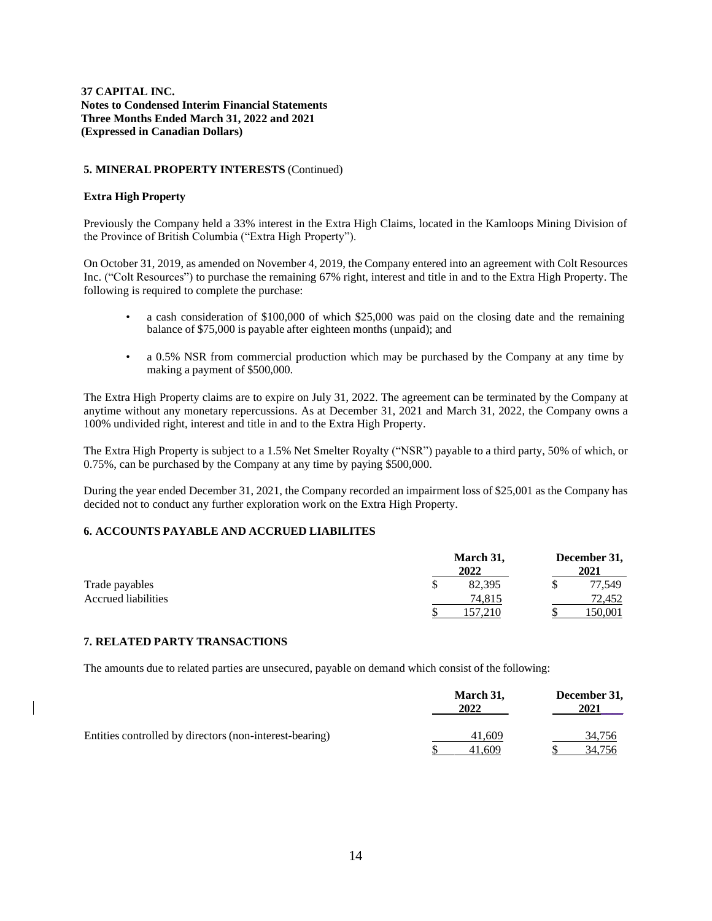### **5. MINERAL PROPERTY INTERESTS** (Continued)

### **Extra High Property**

Previously the Company held a 33% interest in the Extra High Claims, located in the Kamloops Mining Division of the Province of British Columbia ("Extra High Property").

On October 31, 2019, as amended on November 4, 2019, the Company entered into an agreement with Colt Resources Inc. ("Colt Resources") to purchase the remaining 67% right, interest and title in and to the Extra High Property. The following is required to complete the purchase:

- a cash consideration of \$100,000 of which \$25,000 was paid on the closing date and the remaining balance of \$75,000 is payable after eighteen months (unpaid); and
- a 0.5% NSR from commercial production which may be purchased by the Company at any time by making a payment of \$500,000.

The Extra High Property claims are to expire on July 31, 2022. The agreement can be terminated by the Company at anytime without any monetary repercussions. As at December 31, 2021 and March 31, 2022, the Company owns a 100% undivided right, interest and title in and to the Extra High Property.

The Extra High Property is subject to a 1.5% Net Smelter Royalty ("NSR") payable to a third party, 50% of which, or 0.75%, can be purchased by the Company at any time by paying \$500,000.

During the year ended December 31, 2021, the Company recorded an impairment loss of \$25,001 as the Company has decided not to conduct any further exploration work on the Extra High Property.

### **6. ACCOUNTS PAYABLE AND ACCRUED LIABILITES**

|                     | March 31, |  | December 31, |
|---------------------|-----------|--|--------------|
|                     | 2022      |  | 2021         |
| Trade payables      | 82,395    |  | 77,549       |
| Accrued liabilities | 74,815    |  | 72,452       |
|                     | 157.210   |  | 150,001      |

#### **7. RELATED PARTY TRANSACTIONS**

The amounts due to related parties are unsecured, payable on demand which consist of the following:

|                                                         | March 31,<br>2022 | December 31,<br>2021 |
|---------------------------------------------------------|-------------------|----------------------|
| Entities controlled by directors (non-interest-bearing) | 41.609<br>41.609  | 34,756<br>34,756     |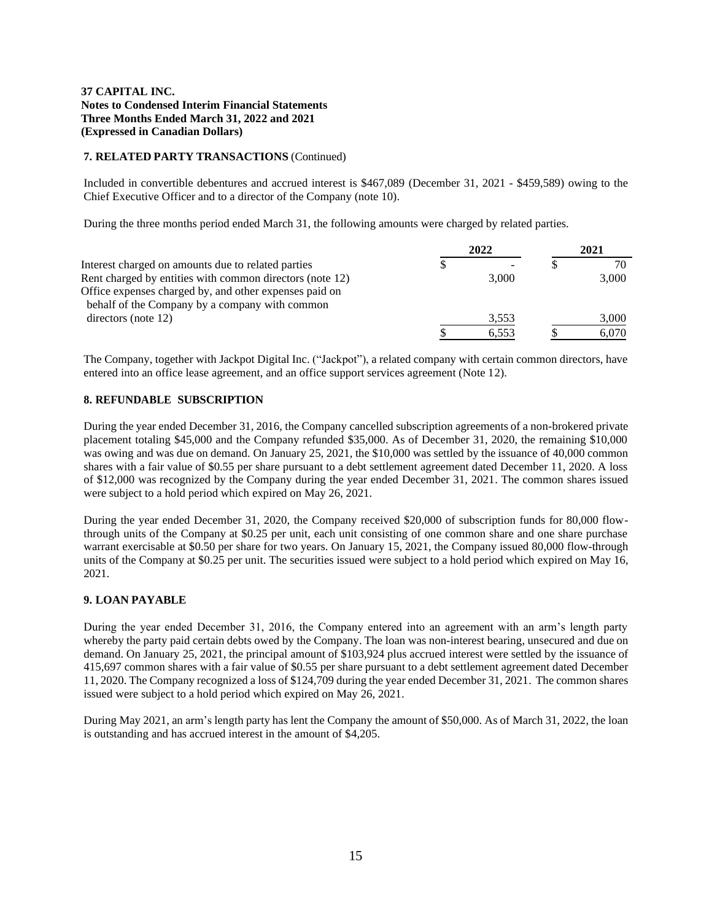### **7. RELATED PARTY TRANSACTIONS** (Continued)

Included in convertible debentures and accrued interest is \$467,089 (December 31, 2021 - \$459,589) owing to the Chief Executive Officer and to a director of the Company (note 10).

During the three months period ended March 31, the following amounts were charged by related parties.

|                                                          | 2022  | 2021  |
|----------------------------------------------------------|-------|-------|
| Interest charged on amounts due to related parties       |       | 70    |
| Rent charged by entities with common directors (note 12) | 3.000 | 3.000 |
| Office expenses charged by, and other expenses paid on   |       |       |
| behalf of the Company by a company with common           |       |       |
| directors (note 12)                                      | 3,553 | 3,000 |
|                                                          | 6.553 | 6.070 |

The Company, together with Jackpot Digital Inc. ("Jackpot"), a related company with certain common directors, have entered into an office lease agreement, and an office support services agreement (Note 12).

### **8. REFUNDABLE SUBSCRIPTION**

During the year ended December 31, 2016, the Company cancelled subscription agreements of a non-brokered private placement totaling \$45,000 and the Company refunded \$35,000. As of December 31, 2020, the remaining \$10,000 was owing and was due on demand. On January 25, 2021, the \$10,000 was settled by the issuance of 40,000 common shares with a fair value of \$0.55 per share pursuant to a debt settlement agreement dated December 11, 2020. A loss of \$12,000 was recognized by the Company during the year ended December 31, 2021. The common shares issued were subject to a hold period which expired on May 26, 2021.

During the year ended December 31, 2020, the Company received \$20,000 of subscription funds for 80,000 flowthrough units of the Company at \$0.25 per unit, each unit consisting of one common share and one share purchase warrant exercisable at \$0.50 per share for two years. On January 15, 2021, the Company issued 80,000 flow-through units of the Company at \$0.25 per unit. The securities issued were subject to a hold period which expired on May 16, 2021.

### **9. LOAN PAYABLE**

During the year ended December 31, 2016, the Company entered into an agreement with an arm's length party whereby the party paid certain debts owed by the Company. The loan was non-interest bearing, unsecured and due on demand. On January 25, 2021, the principal amount of \$103,924 plus accrued interest were settled by the issuance of 415,697 common shares with a fair value of \$0.55 per share pursuant to a debt settlement agreement dated December 11, 2020. The Company recognized a loss of \$124,709 during the year ended December 31, 2021. The common shares issued were subject to a hold period which expired on May 26, 2021.

During May 2021, an arm's length party has lent the Company the amount of \$50,000. As of March 31, 2022, the loan is outstanding and has accrued interest in the amount of \$4,205.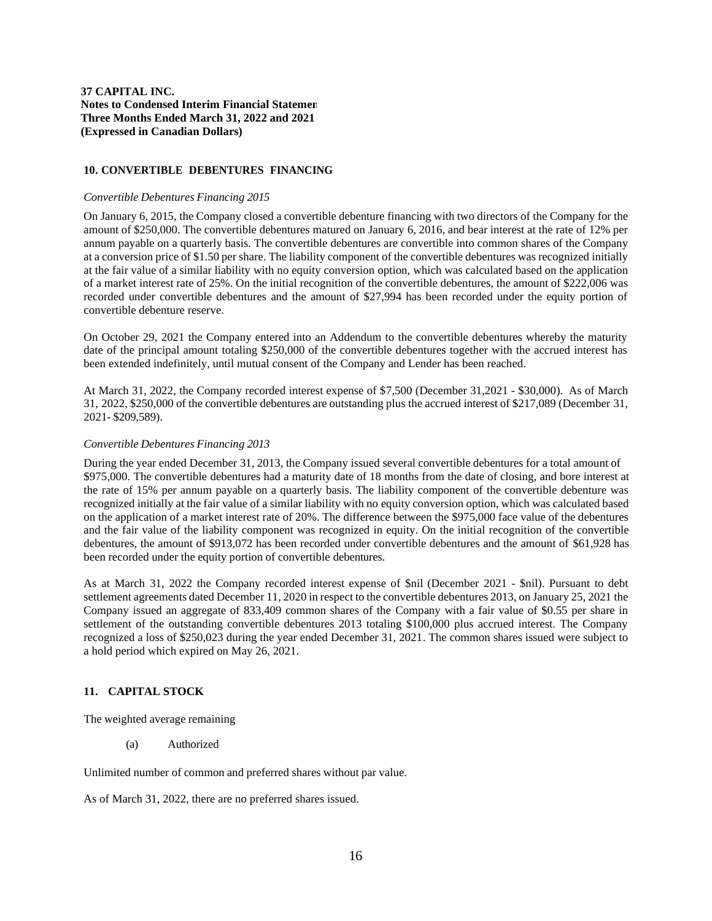### **10. CONVERTIBLE DEBENTURES FINANCING**

#### *Convertible Debentures Financing 2015*

On January 6, 2015, the Company closed a convertible debenture financing with two directors of the Company for the amount of \$250,000. The convertible debentures matured on January 6, 2016, and bear interest at the rate of 12% per annum payable on a quarterly basis. The convertible debentures are convertible into common shares of the Company at a conversion price of \$1.50 per share. The liability component of the convertible debentures was recognized initially at the fair value of a similar liability with no equity conversion option, which was calculated based on the application of a market interest rate of 25%. On the initial recognition of the convertible debentures, the amount of \$222,006 was recorded under convertible debentures and the amount of \$27,994 has been recorded under the equity portion of convertible debenture reserve.

On October 29, 2021 the Company entered into an Addendum to the convertible debentures whereby the maturity date of the principal amount totaling \$250,000 of the convertible debentures together with the accrued interest has been extended indefinitely, until mutual consent of the Company and Lender has been reached.

At March 31, 2022, the Company recorded interest expense of \$7,500 (December 31,2021 - \$30,000). As of March 31, 2022, \$250,000 of the convertible debentures are outstanding plus the accrued interest of \$217,089 (December 31, 2021- \$209,589).

#### *Convertible Debentures Financing 2013*

During the year ended December 31, 2013, the Company issued several convertible debentures for a total amount of \$975,000. The convertible debentures had a maturity date of 18 months from the date of closing, and bore interest at the rate of 15% per annum payable on a quarterly basis. The liability component of the convertible debenture was recognized initially at the fair value of a similar liability with no equity conversion option, which was calculated based on the application of a market interest rate of 20%. The difference between the \$975,000 face value of the debentures and the fair value of the liability component was recognized in equity. On the initial recognition of the convertible debentures, the amount of \$913,072 has been recorded under convertible debentures and the amount of \$61,928 has been recorded under the equity portion of convertible debentures.

As at March 31, 2022 the Company recorded interest expense of \$nil (December 2021 - \$nil). Pursuant to debt settlement agreements dated December 11, 2020 in respect to the convertible debentures 2013, on January 25, 2021 the Company issued an aggregate of 833,409 common shares of the Company with a fair value of \$0.55 per share in settlement of the outstanding convertible debentures 2013 totaling \$100,000 plus accrued interest. The Company recognized a loss of \$250,023 during the year ended December 31, 2021. The common shares issued were subject to a hold period which expired on May 26, 2021.

### **11. CAPITAL STOCK**

The weighted average remaining

(a) Authorized

Unlimited number of common and preferred shares without par value.

As of March 31, 2022, there are no preferred shares issued.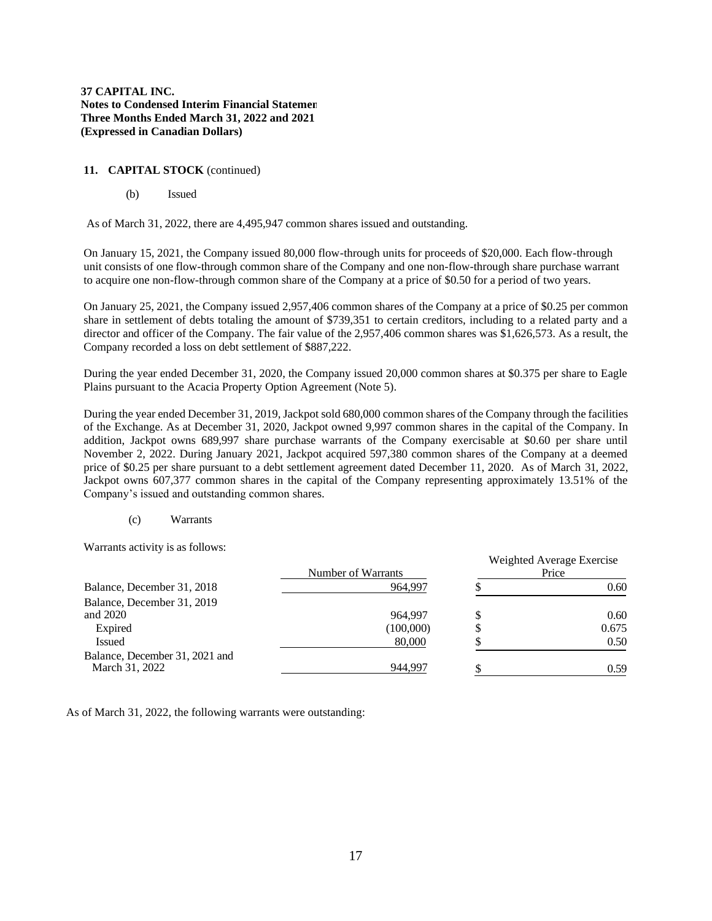# **11. CAPITAL STOCK** (continued)

(b) Issued

As of March 31, 2022, there are 4,495,947 common shares issued and outstanding.

On January 15, 2021, the Company issued 80,000 flow-through units for proceeds of \$20,000. Each flow-through unit consists of one flow-through common share of the Company and one non-flow-through share purchase warrant to acquire one non-flow-through common share of the Company at a price of \$0.50 for a period of two years.

On January 25, 2021, the Company issued 2,957,406 common shares of the Company at a price of \$0.25 per common share in settlement of debts totaling the amount of \$739,351 to certain creditors, including to a related party and a director and officer of the Company. The fair value of the 2,957,406 common shares was \$1,626,573. As a result, the Company recorded a loss on debt settlement of \$887,222.

During the year ended December 31, 2020, the Company issued 20,000 common shares at \$0.375 per share to Eagle Plains pursuant to the Acacia Property Option Agreement (Note 5).

During the year ended December 31, 2019, Jackpot sold 680,000 common shares of the Company through the facilities of the Exchange. As at December 31, 2020, Jackpot owned 9,997 common shares in the capital of the Company. In addition, Jackpot owns 689,997 share purchase warrants of the Company exercisable at \$0.60 per share until November 2, 2022. During January 2021, Jackpot acquired 597,380 common shares of the Company at a deemed price of \$0.25 per share pursuant to a debt settlement agreement dated December 11, 2020. As of March 31, 2022, Jackpot owns 607,377 common shares in the capital of the Company representing approximately 13.51% of the Company's issued and outstanding common shares.

#### (c) Warrants

Warrants activity is as follows:

|                                | Number of Warrants |   | Weighted Average Exercise<br>Price |
|--------------------------------|--------------------|---|------------------------------------|
| Balance, December 31, 2018     | 964.997            |   | 0.60                               |
| Balance, December 31, 2019     |                    |   |                                    |
| and 2020                       | 964.997            |   | 0.60                               |
| Expired                        | (100,000)          | Φ | 0.675                              |
| <b>Issued</b>                  | 80,000             |   | 0.50                               |
| Balance, December 31, 2021 and |                    |   |                                    |
| March 31, 2022                 | 944.997            | Φ | 0.59                               |

As of March 31, 2022, the following warrants were outstanding: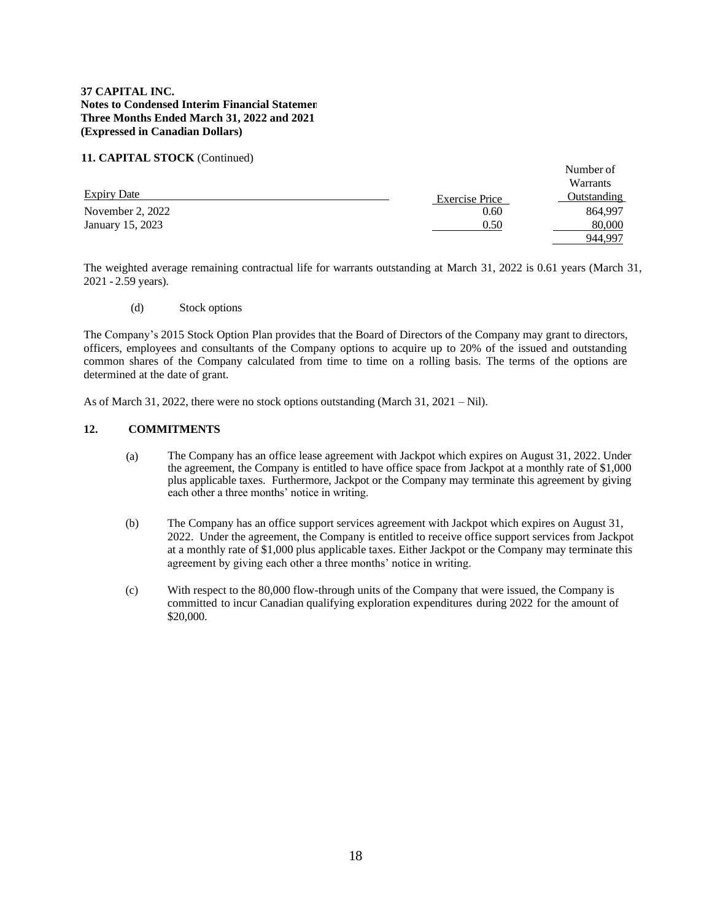### **11. CAPITAL STOCK** (Continued)

|                    |                       | Number of<br>Warrants |
|--------------------|-----------------------|-----------------------|
| <b>Expiry Date</b> | <b>Exercise Price</b> | Outstanding           |
| November 2, 2022   | 0.60                  | 864.997               |
| January 15, 2023   | 0.50                  | 80,000                |
|                    |                       | 944,997               |

The weighted average remaining contractual life for warrants outstanding at March 31, 2022 is 0.61 years (March 31, 2021 - 2.59 years).

(d) Stock options

The Company's 2015 Stock Option Plan provides that the Board of Directors of the Company may grant to directors, officers, employees and consultants of the Company options to acquire up to 20% of the issued and outstanding common shares of the Company calculated from time to time on a rolling basis. The terms of the options are determined at the date of grant.

As of March 31, 2022, there were no stock options outstanding (March 31, 2021 – Nil).

### **12. COMMITMENTS**

- (a) The Company has an office lease agreement with Jackpot which expires on August 31, 2022. Under the agreement, the Company is entitled to have office space from Jackpot at a monthly rate of \$1,000 plus applicable taxes. Furthermore, Jackpot or the Company may terminate this agreement by giving each other a three months' notice in writing.
- (b) The Company has an office support services agreement with Jackpot which expires on August 31, 2022. Under the agreement, the Company is entitled to receive office support services from Jackpot at a monthly rate of \$1,000 plus applicable taxes. Either Jackpot or the Company may terminate this agreement by giving each other a three months' notice in writing.
- (c) With respect to the 80,000 flow-through units of the Company that were issued, the Company is committed to incur Canadian qualifying exploration expenditures during 2022 for the amount of \$20,000.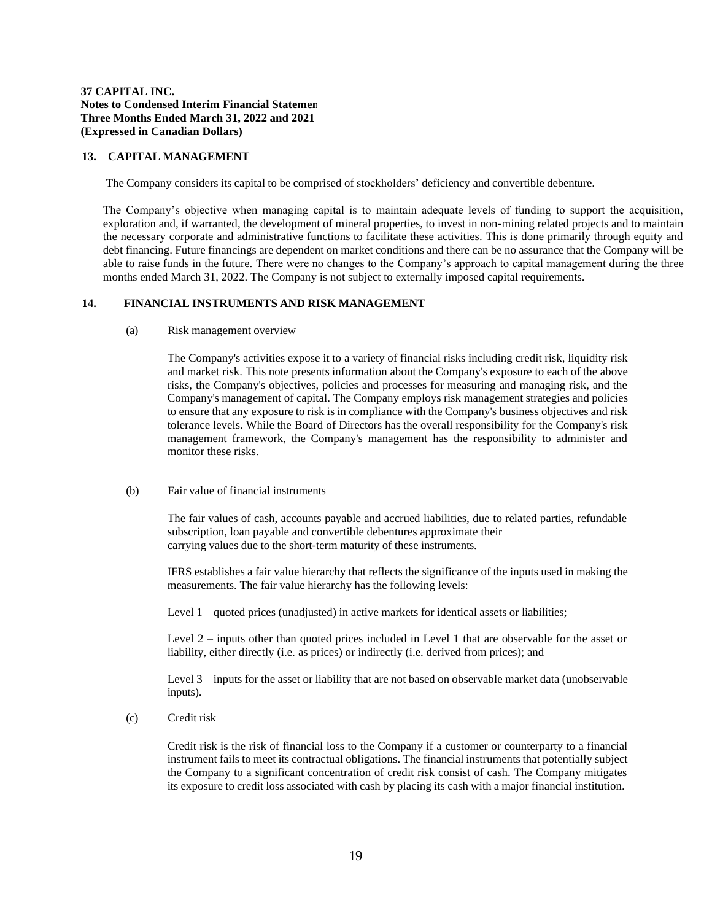#### **13. CAPITAL MANAGEMENT**

The Company considers its capital to be comprised of stockholders' deficiency and convertible debenture.

The Company's objective when managing capital is to maintain adequate levels of funding to support the acquisition, exploration and, if warranted, the development of mineral properties, to invest in non-mining related projects and to maintain the necessary corporate and administrative functions to facilitate these activities. This is done primarily through equity and debt financing. Future financings are dependent on market conditions and there can be no assurance that the Company will be able to raise funds in the future. There were no changes to the Company's approach to capital management during the three months ended March 31, 2022. The Company is not subject to externally imposed capital requirements.

#### **14. FINANCIAL INSTRUMENTS AND RISK MANAGEMENT**

(a) Risk management overview

The Company's activities expose it to a variety of financial risks including credit risk, liquidity risk and market risk. This note presents information about the Company's exposure to each of the above risks, the Company's objectives, policies and processes for measuring and managing risk, and the Company's management of capital. The Company employs risk management strategies and policies to ensure that any exposure to risk is in compliance with the Company's business objectives and risk tolerance levels. While the Board of Directors has the overall responsibility for the Company's risk management framework, the Company's management has the responsibility to administer and monitor these risks.

#### (b) Fair value of financial instruments

The fair values of cash, accounts payable and accrued liabilities, due to related parties, refundable subscription, loan payable and convertible debentures approximate their carrying values due to the short-term maturity of these instruments.

IFRS establishes a fair value hierarchy that reflects the significance of the inputs used in making the measurements. The fair value hierarchy has the following levels:

Level 1 – quoted prices (unadjusted) in active markets for identical assets or liabilities;

Level 2 – inputs other than quoted prices included in Level 1 that are observable for the asset or liability, either directly (i.e. as prices) or indirectly (i.e. derived from prices); and

Level 3 – inputs for the asset or liability that are not based on observable market data (unobservable inputs).

(c) Credit risk

Credit risk is the risk of financial loss to the Company if a customer or counterparty to a financial instrument fails to meet its contractual obligations. The financial instruments that potentially subject the Company to a significant concentration of credit risk consist of cash. The Company mitigates its exposure to credit loss associated with cash by placing its cash with a major financial institution.